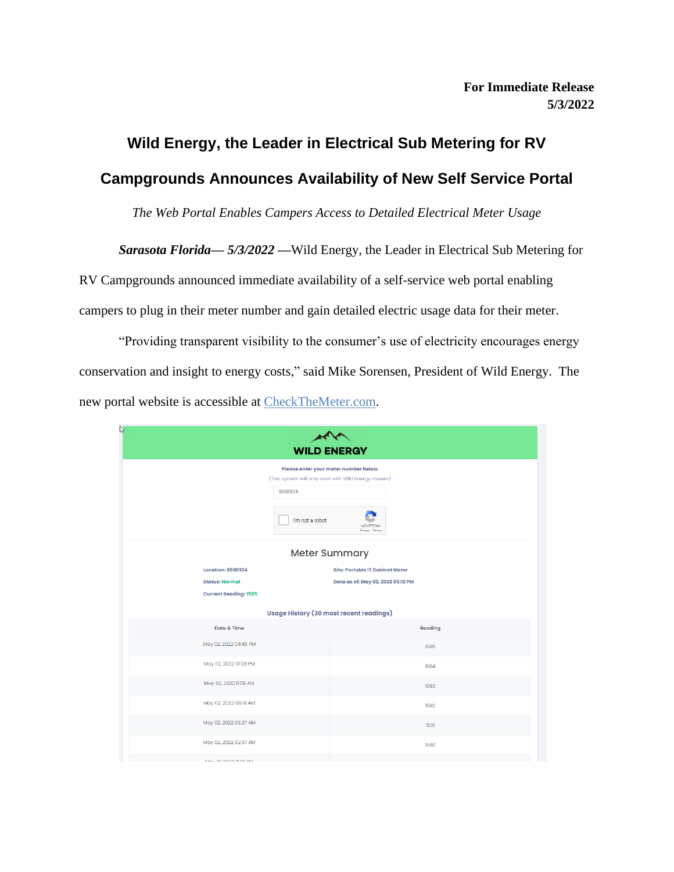# **Wild Energy, the Leader in Electrical Sub Metering for RV Campgrounds Announces Availability of New Self Service Portal**

*The Web Portal Enables Campers Access to Detailed Electrical Meter Usage*

*Sarasota Florida— 5/3/2022 —*Wild Energy, the Leader in Electrical Sub Metering for

RV Campgrounds announced immediate availability of a self-service web portal enabling campers to plug in their meter number and gain detailed electric usage data for their meter.

"Providing transparent visibility to the consumer's use of electricity encourages energy conservation and insight to energy costs," said Mike Sorensen, President of Wild Energy. The new portal website is accessible at [CheckTheMeter.com.](https://checkthemeter.com/)

| ↳<br><b>WILD ENERGY</b>                                                                                                                                     |                                                                             |
|-------------------------------------------------------------------------------------------------------------------------------------------------------------|-----------------------------------------------------------------------------|
| Please enter your meter number below<br>(This system will only work with Wild Energy meters)<br>95181124<br>I'm not a robot<br>reCAPTCHA<br>Privacy - Terms |                                                                             |
| Meter Summary                                                                                                                                               |                                                                             |
| <b>Location: 95181124</b><br><b>Status: Normal</b><br><b>Current Reading: 1595</b>                                                                          | <b>Site: Portable IT Cabinet Meter</b><br>Data as of: May 02, 2022 05:12 PM |
| <b>Usage History (30 most recent readings)</b>                                                                                                              |                                                                             |
| Date & Time                                                                                                                                                 | Reading                                                                     |
| May 02, 2022 04:46 PM                                                                                                                                       | 1595                                                                        |
| May 02, 2022 01:58 PM                                                                                                                                       | 1594                                                                        |
| May 02, 2022 11:08 AM                                                                                                                                       | 1593                                                                        |
| May 02, 2022 08:18 AM                                                                                                                                       | 1592                                                                        |
| May 02, 2022 05:27 AM                                                                                                                                       | 1591                                                                        |
| May 02, 2022 02:37 AM                                                                                                                                       | 1590                                                                        |
| <b>11. OF GOOD BLACKALL</b>                                                                                                                                 |                                                                             |